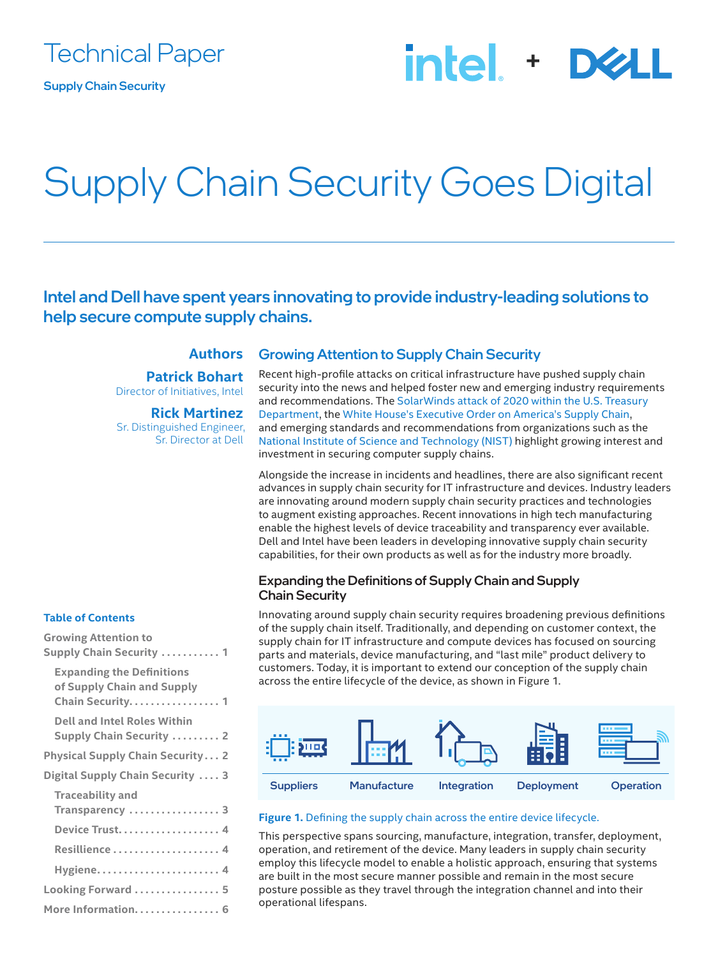# intel + D&

# Supply Chain Security Goes Digital

Intel and Dell have spent years innovating to provide industry-leading solutions to help secure compute supply chains.

# **Authors**

**Patrick Bohart** Director of Initiatives, Intel

**Rick Martinez** Sr. Distinguished Engineer, Sr. Director at Dell

## Growing Attention to Supply Chain Security

Recent high-profile attacks on critical infrastructure have pushed supply chain security into the news and helped foster new and emerging industry requirements and recommendations. The [SolarWinds attack of 2020 within the U.S. Treasury](https://www.reuters.com/article/us-usa-cyber-treasury-exclsuive/suspected-russian-hackers-spied-on-u-s-treasury-emails-sources-idUKKBN28N0PG)  [Department](https://www.reuters.com/article/us-usa-cyber-treasury-exclsuive/suspected-russian-hackers-spied-on-u-s-treasury-emails-sources-idUKKBN28N0PG), the [White House's Executive Order on America's Supply Chain](https://www.whitehouse.gov/briefing-room/presidential-actions/2021/02/24/executive-order-on-americas-supply-chains/), and emerging standards and recommendations from organizations such as the [National Institute of Science and Technology \(NIST\)](https://csrc.nist.gov/publications/detail/sp/800-161/final) highlight growing interest and investment in securing computer supply chains.

Alongside the increase in incidents and headlines, there are also significant recent advances in supply chain security for IT infrastructure and devices. Industry leaders are innovating around modern supply chain security practices and technologies to augment existing approaches. Recent innovations in high tech manufacturing enable the highest levels of device traceability and transparency ever available. Dell and Intel have been leaders in developing innovative supply chain security capabilities, for their own products as well as for the industry more broadly.

## Expanding the Definitions of Supply Chain and Supply Chain Security

Innovating around supply chain security requires broadening previous definitions of the supply chain itself. Traditionally, and depending on customer context, the supply chain for IT infrastructure and compute devices has focused on sourcing parts and materials, device manufacturing, and "last mile" product delivery to customers. Today, it is important to extend our conception of the supply chain across the entire lifecycle of the device, as shown in Figure 1.



#### **Figure 1.** Defining the supply chain across the entire device lifecycle.

This perspective spans sourcing, manufacture, integration, transfer, deployment, operation, and retirement of the device. Many leaders in supply chain security employ this lifecycle model to enable a holistic approach, ensuring that systems are built in the most secure manner possible and remain in the most secure posture possible as they travel through the integration channel and into their operational lifespans.

### **Table of Contents**

| <b>Growing Attention to</b><br><b>Supply Chain Security  1</b>                      |
|-------------------------------------------------------------------------------------|
| <b>Expanding the Definitions</b><br>of Supply Chain and Supply<br>Chain Security. 1 |
| <b>Dell and Intel Roles Within</b><br><b>Supply Chain Security  2</b>               |
| <b>Physical Supply Chain Security 2</b>                                             |
| Digital Supply Chain Security  3                                                    |
| <b>Traceability and</b><br>Transparency  3                                          |
| Device Trust 4                                                                      |
|                                                                                     |
|                                                                                     |
| Looking Forward  5                                                                  |
| More Information. 6                                                                 |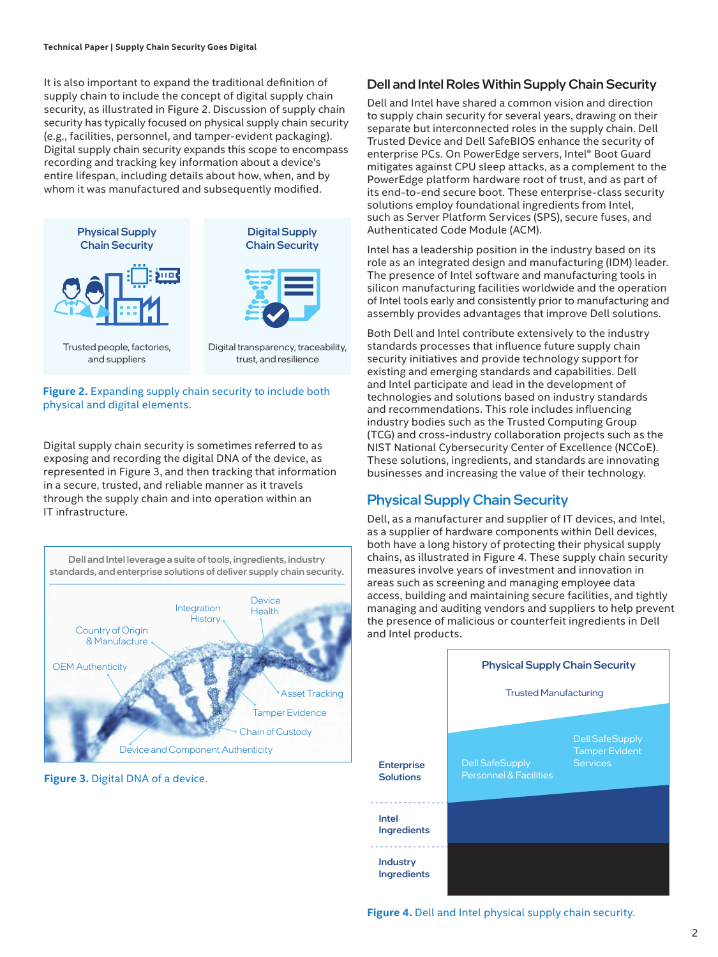<span id="page-1-0"></span>It is also important to expand the traditional definition of supply chain to include the concept of digital supply chain security, as illustrated in Figure 2. Discussion of supply chain security has typically focused on physical supply chain security (e.g., facilities, personnel, and tamper-evident packaging). Digital supply chain security expands this scope to encompass recording and tracking key information about a device's entire lifespan, including details about how, when, and by whom it was manufactured and subsequently modified.



**Figure 2.** Expanding supply chain security to include both physical and digital elements.

Digital supply chain security is sometimes referred to as exposing and recording the digital DNA of the device, as represented in Figure 3, and then tracking that information in a secure, trusted, and reliable manner as it travels through the supply chain and into operation within an IT infrastructure.



**Figure 3.** Digital DNA of a device.

## Dell and Intel Roles Within Supply Chain Security

Dell and Intel have shared a common vision and direction to supply chain security for several years, drawing on their separate but interconnected roles in the supply chain. Dell Trusted Device and Dell SafeBIOS enhance the security of enterprise PCs. On PowerEdge servers, Intel® Boot Guard mitigates against CPU sleep attacks, as a complement to the PowerEdge platform hardware root of trust, and as part of its end-to-end secure boot. These enterprise-class security solutions employ foundational ingredients from Intel, such as Server Platform Services (SPS), secure fuses, and Authenticated Code Module (ACM).

Intel has a leadership position in the industry based on its role as an integrated design and manufacturing (IDM) leader. The presence of Intel software and manufacturing tools in silicon manufacturing facilities worldwide and the operation of Intel tools early and consistently prior to manufacturing and assembly provides advantages that improve Dell solutions.

Both Dell and Intel contribute extensively to the industry standards processes that influence future supply chain security initiatives and provide technology support for existing and emerging standards and capabilities. Dell and Intel participate and lead in the development of technologies and solutions based on industry standards and recommendations. This role includes influencing industry bodies such as the Trusted Computing Group (TCG) and cross-industry collaboration projects such as the NIST National Cybersecurity Center of Excellence (NCCoE). These solutions, ingredients, and standards are innovating businesses and increasing the value of their technology.

# Physical Supply Chain Security

Dell, as a manufacturer and supplier of IT devices, and Intel, as a supplier of hardware components within Dell devices, both have a long history of protecting their physical supply chains, as illustrated in Figure 4. These supply chain security measures involve years of investment and innovation in areas such as screening and managing employee data access, building and maintaining secure facilities, and tightly managing and auditing vendors and suppliers to help prevent the presence of malicious or counterfeit ingredients in Dell and Intel products.



**Figure 4.** Dell and Intel physical supply chain security.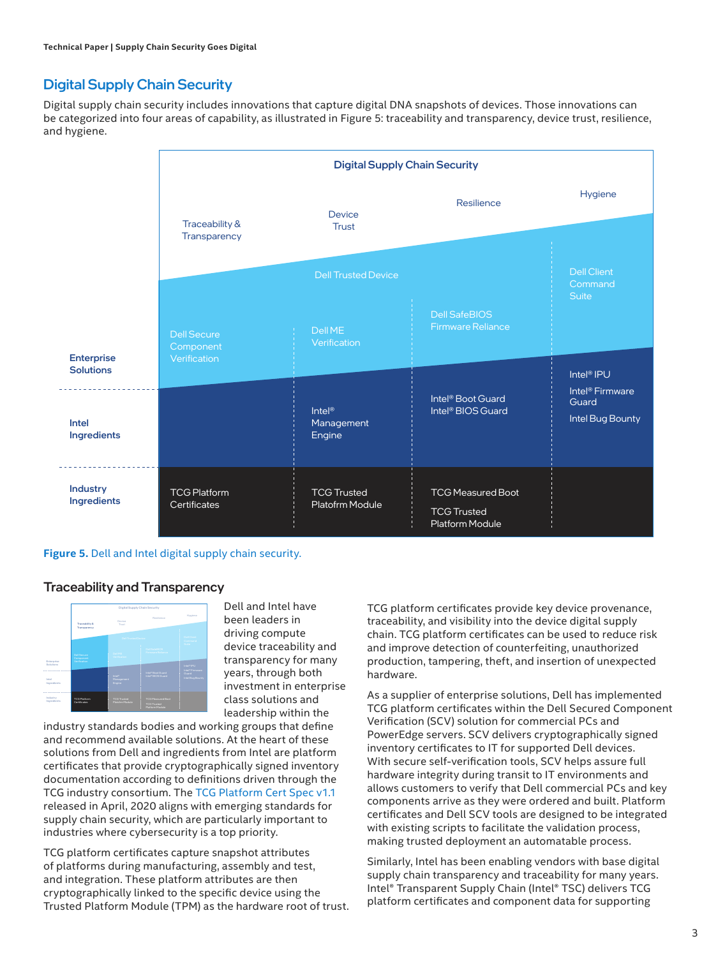# <span id="page-2-0"></span>Digital Supply Chain Security

Digital supply chain security includes innovations that capture digital DNA snapshots of devices. Those innovations can be categorized into four areas of capability, as illustrated in Figure 5: traceability and transparency, device trust, resilience, and hygiene.



#### **Figure 5.** Dell and Intel digital supply chain security.

### Traceability and Transparency



Dell and Intel have been leaders in driving compute device traceability and transparency for many years, through both investment in enterprise class solutions and leadership within the

industry standards bodies and working groups that define and recommend available solutions. At the heart of these solutions from Dell and ingredients from Intel are platform certificates that provide cryptographically signed inventory documentation according to definitions driven through the TCG industry consortium. The [TCG Platform Cert Spec v1.1](https://trustedcomputinggroup.org/resource/tcg-platform-certificate-profile/) released in April, 2020 aligns with emerging standards for supply chain security, which are particularly important to industries where cybersecurity is a top priority.

TCG platform certificates capture snapshot attributes of platforms during manufacturing, assembly and test, and integration. These platform attributes are then cryptographically linked to the specific device using the Trusted Platform Module (TPM) as the hardware root of trust. TCG platform certificates provide key device provenance, traceability, and visibility into the device digital supply chain. TCG platform certificates can be used to reduce risk and improve detection of counterfeiting, unauthorized production, tampering, theft, and insertion of unexpected hardware.

As a supplier of enterprise solutions, Dell has implemented TCG platform certificates within the Dell Secured Component Verification (SCV) solution for commercial PCs and PowerEdge servers. SCV delivers cryptographically signed inventory certificates to IT for supported Dell devices. With secure self-verification tools, SCV helps assure full hardware integrity during transit to IT environments and allows customers to verify that Dell commercial PCs and key components arrive as they were ordered and built. Platform certificates and Dell SCV tools are designed to be integrated with existing scripts to facilitate the validation process, making trusted deployment an automatable process.

Similarly, Intel has been enabling vendors with base digital supply chain transparency and traceability for many years. Intel® Transparent Supply Chain (Intel® TSC) delivers TCG platform certificates and component data for supporting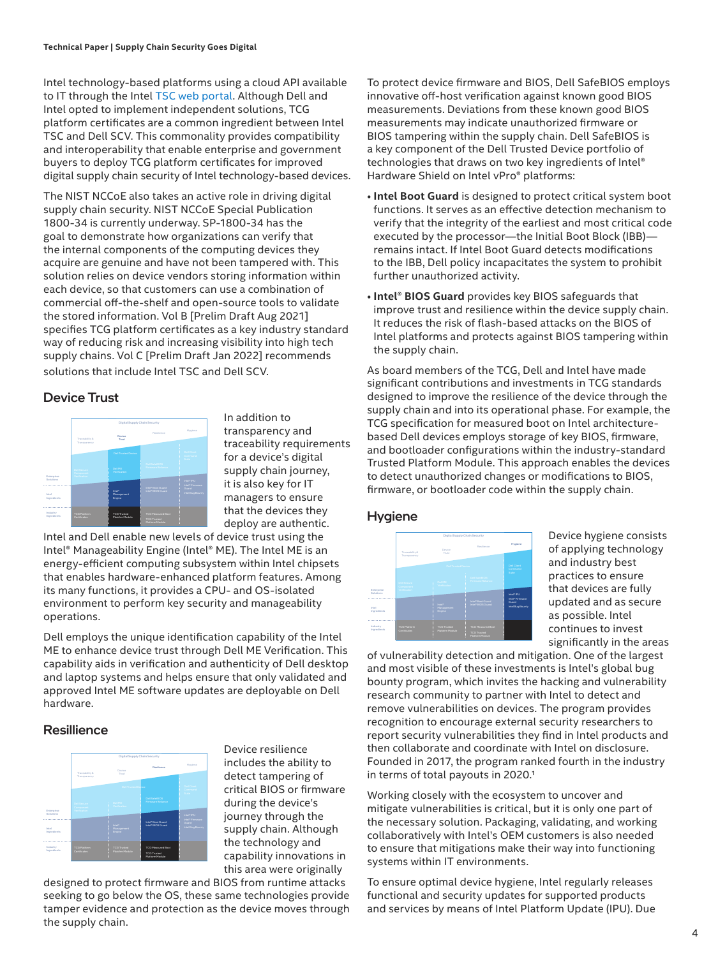<span id="page-3-0"></span>Intel technology-based platforms using a cloud API available to IT through the Intel [TSC web portal.](https://www.intel.com/content/www/us/en/products/docs/servers/transparent-supply-chain.html) Although Dell and Intel opted to implement independent solutions, TCG platform certificates are a common ingredient between Intel TSC and Dell SCV. This commonality provides compatibility and interoperability that enable enterprise and government buyers to deploy TCG platform certificates for improved digital supply chain security of Intel technology-based devices.

The NIST NCCoE also takes an active role in driving digital supply chain security. NIST NCCoE Special Publication 1800-34 is currently underway. SP-1800-34 has the goal to demonstrate how organizations can verify that the internal components of the computing devices they acquire are genuine and have not been tampered with. This solution relies on device vendors storing information within each device, so that customers can use a combination of commercial off-the-shelf and open-source tools to validate the stored information. Vol B [Prelim Draft Aug 2021] specifies TCG platform certificates as a key industry standard way of reducing risk and increasing visibility into high tech supply chains. Vol C [Prelim Draft Jan 2022] recommends solutions that include Intel TSC and Dell SCV.

## Device Trust



In addition to transparency and traceability requirements for a device's digital supply chain journey, it is also key for IT managers to ensure that the devices they deploy are authentic.

Intel and Dell enable new levels of device trust using the Intel® Manageability Engine (Intel® ME). The Intel ME is an energy-efficient computing subsystem within Intel chipsets that enables hardware-enhanced platform features. Among its many functions, it provides a CPU- and OS-isolated environment to perform key security and manageability operations.

Dell employs the unique identification capability of the Intel ME to enhance device trust through Dell ME Verification. This capability aids in verification and authenticity of Dell desktop and laptop systems and helps ensure that only validated and approved Intel ME software updates are deployable on Dell hardware.

## **Resillience**



Device resilience includes the ability to detect tampering of critical BIOS or firmware during the device's journey through the supply chain. Although the technology and capability innovations in this area were originally

designed to protect firmware and BIOS from runtime attacks seeking to go below the OS, these same technologies provide tamper evidence and protection as the device moves through the supply chain.

To protect device firmware and BIOS, Dell SafeBIOS employs innovative off-host verification against known good BIOS measurements. Deviations from these known good BIOS measurements may indicate unauthorized firmware or BIOS tampering within the supply chain. Dell SafeBIOS is a key component of the Dell Trusted Device portfolio of technologies that draws on two key ingredients of Intel® Hardware Shield on Intel vPro® platforms:

- **Intel Boot Guard** is designed to protect critical system boot functions. It serves as an effective detection mechanism to verify that the integrity of the earliest and most critical code executed by the processor—the Initial Boot Block (IBB) remains intact. If Intel Boot Guard detects modifications to the IBB, Dell policy incapacitates the system to prohibit further unauthorized activity.
- **Intel® BIOS Guard** provides key BIOS safeguards that improve trust and resilience within the device supply chain. It reduces the risk of flash-based attacks on the BIOS of Intel platforms and protects against BIOS tampering within the supply chain.

As board members of the TCG, Dell and Intel have made significant contributions and investments in TCG standards designed to improve the resilience of the device through the supply chain and into its operational phase. For example, the TCG specification for measured boot on Intel architecturebased Dell devices employs storage of key BIOS, firmware, and bootloader configurations within the industry-standard Trusted Platform Module. This approach enables the devices to detect unauthorized changes or modifications to BIOS, firmware, or bootloader code within the supply chain.

### **Hygiene**



Device hygiene consists of applying technology and industry best practices to ensure that devices are fully updated and as secure as possible. Intel continues to invest significantly in the areas

of vulnerability detection and mitigation. One of the largest and most visible of these investments is Intel's global bug bounty program, which invites the hacking and vulnerability research community to partner with Intel to detect and remove vulnerabilities on devices. The program provides recognition to encourage external security researchers to report security vulnerabilities they find in Intel products and then collaborate and coordinate with Intel on disclosure. Founded in 2017, the program ranked fourth in the industry in terms of total payouts in 2020.1

Working closely with the ecosystem to uncover and mitigate vulnerabilities is critical, but it is only one part of the necessary solution. Packaging, validating, and working collaboratively with Intel's OEM customers is also needed to ensure that mitigations make their way into functioning systems within IT environments.

To ensure optimal device hygiene, Intel regularly releases functional and security updates for supported products and services by means of Intel Platform Update (IPU). Due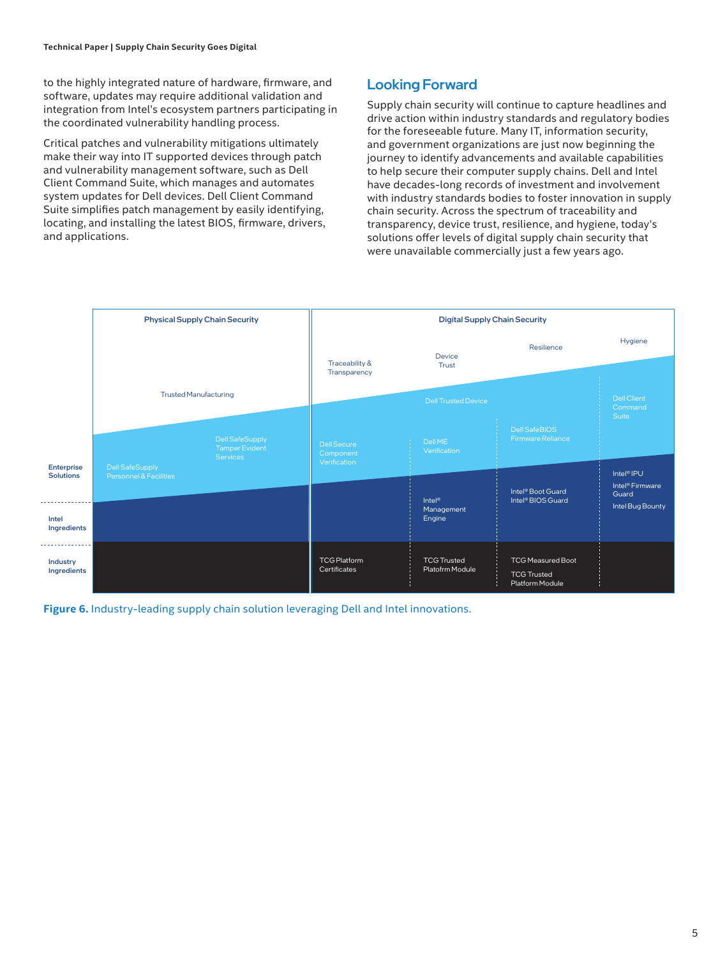<span id="page-4-0"></span>to the highly integrated nature of hardware, firmware, and software, updates may require additional validation and integration from Intel's ecosystem partners participating in the coordinated vulnerability handling process.

Critical patches and vulnerability mitigations ultimately make their way into IT supported devices through patch and vulnerability management software, such as Dell Client Command Suite, which manages and automates system updates for Dell devices. Dell Client Command Suite simplifies patch management by easily identifying, locating, and installing the latest BIOS, firmware, drivers, and applications.

# Looking Forward

Supply chain security will continue to capture headlines and drive action within industry standards and regulatory bodies for the foreseeable future. Many IT, information security, and government organizations are just now beginning the journey to identify advancements and available capabilities to help secure their computer supply chains. Dell and Intel have decades-long records of investment and involvement with industry standards bodies to foster innovation in supply chain security. Across the spectrum of traceability and transparency, device trust, resilience, and hygiene, today's solutions offer levels of digital supply chain security that were unavailable commercially just a few years ago.



**Figure 6.** Industry-leading supply chain solution leveraging Dell and Intel innovations.